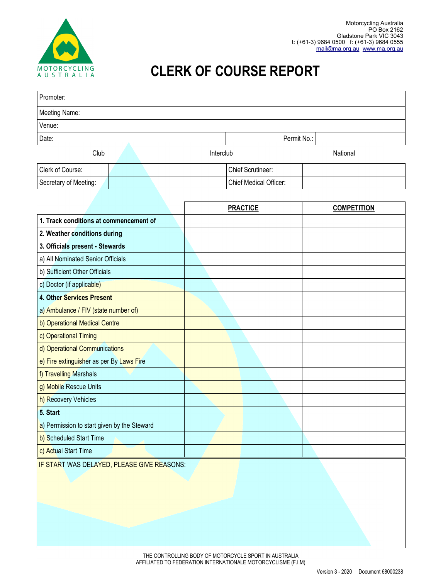

## **CLERK OF COURSE REPORT**

| Promoter:             |             |  |  |           |                        |          |  |  |
|-----------------------|-------------|--|--|-----------|------------------------|----------|--|--|
| Meeting Name:         |             |  |  |           |                        |          |  |  |
| Venue:                |             |  |  |           |                        |          |  |  |
| Date:                 | Permit No.: |  |  |           |                        |          |  |  |
| Club                  |             |  |  | Interclub |                        | National |  |  |
| Clerk of Course:      |             |  |  |           | Chief Scrutineer:      |          |  |  |
| Secretary of Meeting: |             |  |  |           | Chief Medical Officer: |          |  |  |

|                                             | <b>PRACTICE</b> | <b>COMPETITION</b> |
|---------------------------------------------|-----------------|--------------------|
| 1. Track conditions at commencement of      |                 |                    |
| 2. Weather conditions during                |                 |                    |
| 3. Officials present - Stewards             |                 |                    |
| a) All Nominated Senior Officials           |                 |                    |
| b) Sufficient Other Officials               |                 |                    |
| c) Doctor (if applicable)                   |                 |                    |
| 4. Other Services Present                   |                 |                    |
| a) Ambulance / FIV (state number of)        |                 |                    |
| b) Operational Medical Centre               |                 |                    |
| c) Operational Timing                       |                 |                    |
| d) Operational Communications               |                 |                    |
| e) Fire extinguisher as per By Laws Fire    |                 |                    |
| f) Travelling Marshals                      |                 |                    |
| g) Mobile Rescue Units                      |                 |                    |
| h) Recovery Vehicles                        |                 |                    |
| 5. Start                                    |                 |                    |
| a) Permission to start given by the Steward |                 |                    |
| b) Scheduled Start Time                     |                 |                    |
| c) Actual Start Time                        |                 |                    |

**IF START WAS DELAYED, PLEASE GIVE REASONS:**